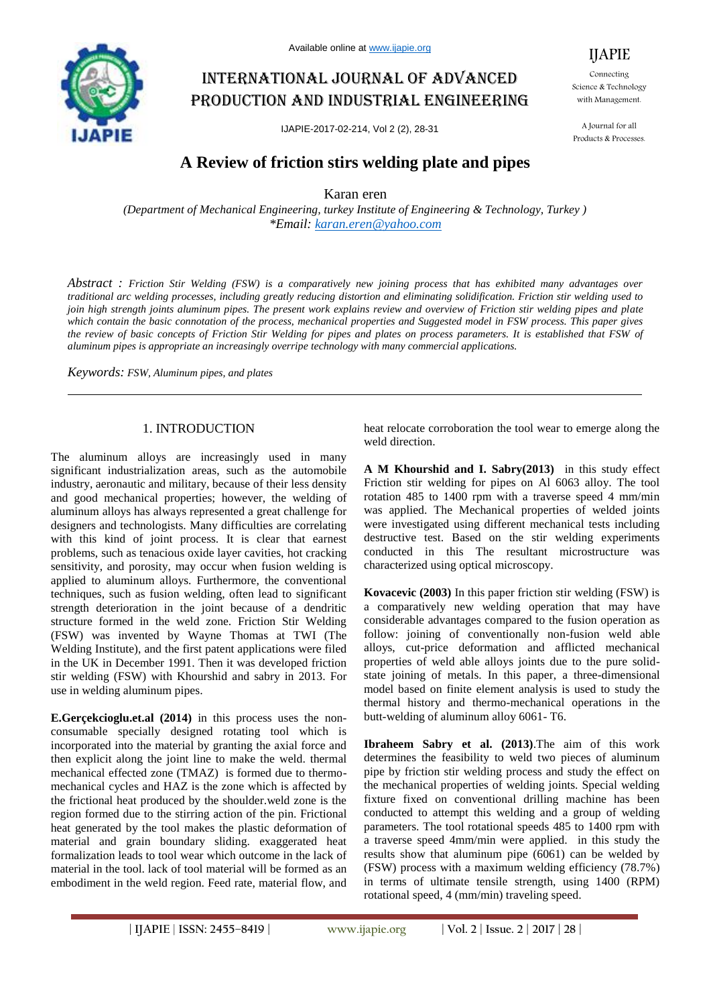# International journal of advanced production and industrial engineering

IJAPIE-2017-02-214, Vol 2 (2), 28-31

# **A Review of friction stirs welding plate and pipes**

Karan eren

*(Department of Mechanical Engineering, turkey Institute of Engineering & Technology, Turkey ) \*Email: karan.eren@yahoo.com*

*Abstract : Friction Stir Welding (FSW) is a comparatively new joining process that has exhibited many advantages over traditional arc welding processes, including greatly reducing distortion and eliminating solidification. Friction stir welding used to join high strength joints aluminum pipes. The present work explains review and overview of Friction stir welding pipes and plate which contain the basic connotation of the process, mechanical properties and Suggested model in FSW process. This paper gives the review of basic concepts of Friction Stir Welding for pipes and plates on process parameters. It is established that FSW of aluminum pipes is appropriate an increasingly overripe technology with many commercial applications.*

*Keywords: FSW, Aluminum pipes, and plates*

#### 1. INTRODUCTION

The aluminum alloys are increasingly used in many significant industrialization areas, such as the automobile industry, aeronautic and military, because of their less density and good mechanical properties; however, the welding of aluminum alloys has always represented a great challenge for designers and technologists. Many difficulties are correlating with this kind of joint process. It is clear that earnest problems, such as tenacious oxide layer cavities, hot cracking sensitivity, and porosity, may occur when fusion welding is applied to aluminum alloys. Furthermore, the conventional techniques, such as fusion welding, often lead to significant strength deterioration in the joint because of a dendritic structure formed in the weld zone. Friction Stir Welding (FSW) was invented by Wayne Thomas at TWI (The Welding Institute), and the first patent applications were filed in the UK in December 1991. Then it was developed friction stir welding (FSW) with Khourshid and sabry in 2013. For use in welding aluminum pipes.

**E.Gerçekcioglu.et.al (2014)** in this process uses the nonconsumable specially designed rotating tool which is incorporated into the material by granting the axial force and then explicit along the joint line to make the weld. thermal mechanical effected zone (TMAZ) is formed due to thermomechanical cycles and HAZ is the zone which is affected by the frictional heat produced by the shoulder.weld zone is the region formed due to the stirring action of the pin. Frictional heat generated by the tool makes the plastic deformation of material and grain boundary sliding. exaggerated heat formalization leads to tool wear which outcome in the lack of material in the tool. lack of tool material will be formed as an embodiment in the weld region. Feed rate, material flow, and

heat relocate corroboration the tool wear to emerge along the weld direction.

**A M Khourshid and I. Sabry(2013)** in this study effect Friction stir welding for pipes on Al 6063 alloy. The tool rotation 485 to 1400 rpm with a traverse speed 4 mm/min was applied. The Mechanical properties of welded joints were investigated using different mechanical tests including destructive test. Based on the stir welding experiments conducted in this The resultant microstructure was characterized using optical microscopy.

**Kovacevic (2003)** In this paper friction stir welding (FSW) is a comparatively new welding operation that may have considerable advantages compared to the fusion operation as follow: joining of conventionally non-fusion weld able alloys, cut-price deformation and afflicted mechanical properties of weld able alloys joints due to the pure solidstate joining of metals. In this paper, a three-dimensional model based on finite element analysis is used to study the thermal history and thermo-mechanical operations in the butt-welding of aluminum alloy 6061- T6.

**Ibraheem Sabry et al. (2013)**.The aim of this work determines the feasibility to weld two pieces of aluminum pipe by friction stir welding process and study the effect on the mechanical properties of welding joints. Special welding fixture fixed on conventional drilling machine has been conducted to attempt this welding and a group of welding parameters. The tool rotational speeds 485 to 1400 rpm with a traverse speed 4mm/min were applied. in this study the results show that aluminum pipe (6061) can be welded by (FSW) process with a maximum welding efficiency (78.7%) in terms of ultimate tensile strength, using 1400 (RPM) rotational speed, 4 (mm/min) traveling speed.



Connecting Science & Technology with Management.

A Journal for all Products & Processes.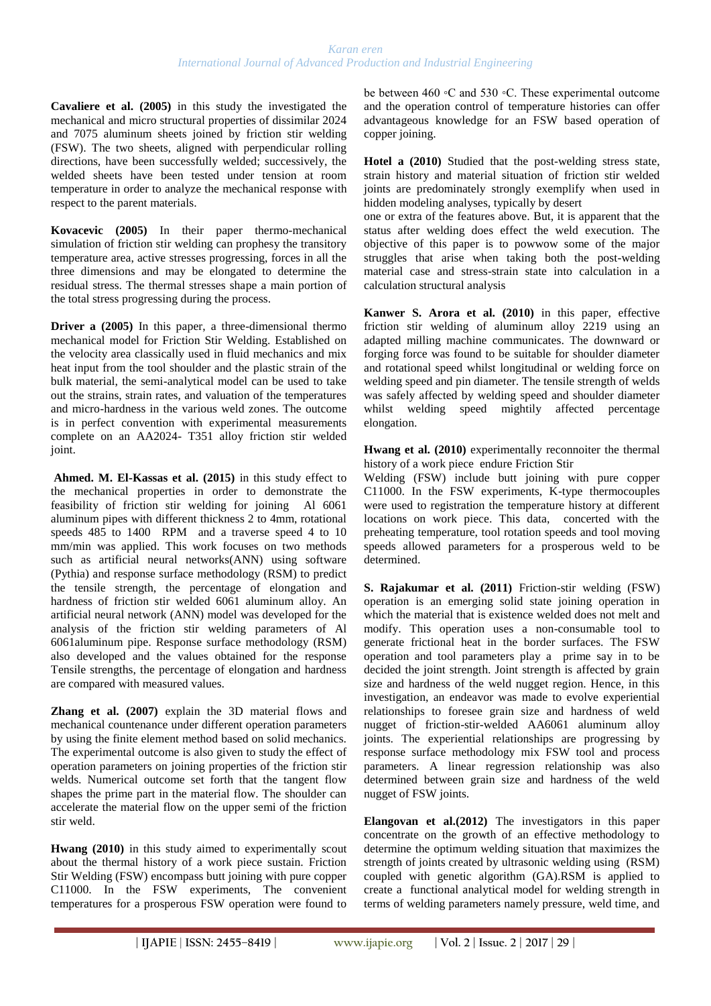#### *Karan eren International Journal of Advanced Production and Industrial Engineering*

**Cavaliere et al. (2005)** in this study the investigated the mechanical and micro structural properties of dissimilar 2024 and 7075 aluminum sheets joined by friction stir welding (FSW). The two sheets, aligned with perpendicular rolling directions, have been successfully welded; successively, the welded sheets have been tested under tension at room temperature in order to analyze the mechanical response with respect to the parent materials.

**Kovacevic (2005)** In their paper thermo-mechanical simulation of friction stir welding can prophesy the transitory temperature area, active stresses progressing, forces in all the three dimensions and may be elongated to determine the residual stress. The thermal stresses shape a main portion of the total stress progressing during the process.

**Driver a (2005)** In this paper, a three-dimensional thermo mechanical model for Friction Stir Welding. Established on the velocity area classically used in fluid mechanics and mix heat input from the tool shoulder and the plastic strain of the bulk material, the semi-analytical model can be used to take out the strains, strain rates, and valuation of the temperatures and micro-hardness in the various weld zones. The outcome is in perfect convention with experimental measurements complete on an AA2024- T351 alloy friction stir welded joint.

**Ahmed. M. El-Kassas et al. (2015)** in this study effect to the mechanical properties in order to demonstrate the feasibility of friction stir welding for joining Al 6061 aluminum pipes with different thickness 2 to 4mm, rotational speeds 485 to 1400 RPM and a traverse speed 4 to 10 mm/min was applied. This work focuses on two methods such as artificial neural networks(ANN) using software (Pythia) and response surface methodology (RSM) to predict the tensile strength, the percentage of elongation and hardness of friction stir welded 6061 aluminum alloy. An artificial neural network (ANN) model was developed for the analysis of the friction stir welding parameters of Al 6061aluminum pipe. Response surface methodology (RSM) also developed and the values obtained for the response Tensile strengths, the percentage of elongation and hardness are compared with measured values.

**Zhang et al. (2007)** explain the 3D material flows and mechanical countenance under different operation parameters by using the finite element method based on solid mechanics. The experimental outcome is also given to study the effect of operation parameters on joining properties of the friction stir welds. Numerical outcome set forth that the tangent flow shapes the prime part in the material flow. The shoulder can accelerate the material flow on the upper semi of the friction stir weld.

**Hwang (2010)** in this study aimed to experimentally scout about the thermal history of a work piece sustain. Friction Stir Welding (FSW) encompass butt joining with pure copper C11000. In the FSW experiments, The convenient temperatures for a prosperous FSW operation were found to be between 460 ◦C and 530 ◦C. These experimental outcome and the operation control of temperature histories can offer advantageous knowledge for an FSW based operation of copper joining.

**Hotel a (2010)** Studied that the post-welding stress state, strain history and material situation of friction stir welded joints are predominately strongly exemplify when used in hidden modeling analyses, typically by desert

one or extra of the features above. But, it is apparent that the status after welding does effect the weld execution. The objective of this paper is to powwow some of the major struggles that arise when taking both the post-welding material case and stress-strain state into calculation in a calculation structural analysis

**Kanwer S. Arora et al. (2010)** in this paper, effective friction stir welding of aluminum alloy 2219 using an adapted milling machine communicates. The downward or forging force was found to be suitable for shoulder diameter and rotational speed whilst longitudinal or welding force on welding speed and pin diameter. The tensile strength of welds was safely affected by welding speed and shoulder diameter whilst welding speed mightily affected percentage elongation.

**Hwang et al. (2010)** experimentally reconnoiter the thermal history of a work piece endure Friction Stir

Welding (FSW) include butt joining with pure copper C11000. In the FSW experiments, K-type thermocouples were used to registration the temperature history at different locations on work piece. This data, concerted with the preheating temperature, tool rotation speeds and tool moving speeds allowed parameters for a prosperous weld to be determined.

**S. Rajakumar et al. (2011)** Friction-stir welding (FSW) operation is an emerging solid state joining operation in which the material that is existence welded does not melt and modify. This operation uses a non-consumable tool to generate frictional heat in the border surfaces. The FSW operation and tool parameters play a prime say in to be decided the joint strength. Joint strength is affected by grain size and hardness of the weld nugget region. Hence, in this investigation, an endeavor was made to evolve experiential relationships to foresee grain size and hardness of weld nugget of friction-stir-welded AA6061 aluminum alloy joints. The experiential relationships are progressing by response surface methodology mix FSW tool and process parameters. A linear regression relationship was also determined between grain size and hardness of the weld nugget of FSW joints.

**Elangovan et al.(2012)** The investigators in this paper concentrate on the growth of an effective methodology to determine the optimum welding situation that maximizes the strength of joints created by ultrasonic welding using (RSM) coupled with genetic algorithm (GA).RSM is applied to create a functional analytical model for welding strength in terms of welding parameters namely pressure, weld time, and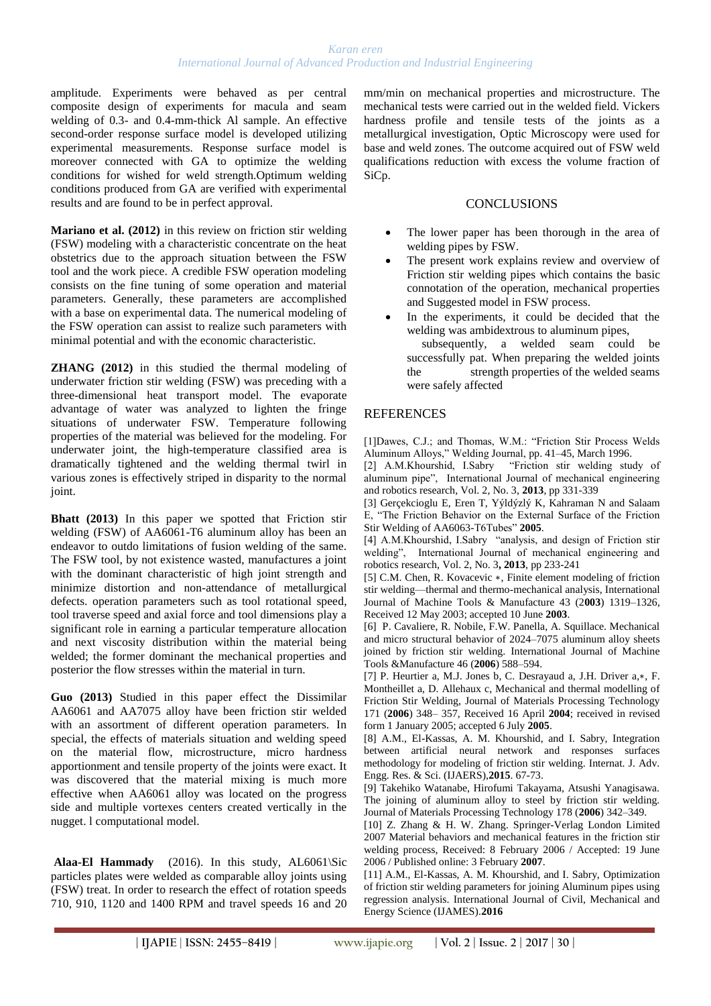#### *Karan eren International Journal of Advanced Production and Industrial Engineering*

amplitude. Experiments were behaved as per central composite design of experiments for macula and seam welding of 0.3- and 0.4-mm-thick Al sample. An effective second-order response surface model is developed utilizing experimental measurements. Response surface model is moreover connected with GA to optimize the welding conditions for wished for weld strength.Optimum welding conditions produced from GA are verified with experimental results and are found to be in perfect approval.

**Mariano et al. (2012)** in this review on friction stir welding (FSW) modeling with a characteristic concentrate on the heat obstetrics due to the approach situation between the FSW tool and the work piece. A credible FSW operation modeling consists on the fine tuning of some operation and material parameters. Generally, these parameters are accomplished with a base on experimental data. The numerical modeling of the FSW operation can assist to realize such parameters with minimal potential and with the economic characteristic.

**ZHANG (2012)** in this studied the thermal modeling of underwater friction stir welding (FSW) was preceding with a three-dimensional heat transport model. The evaporate advantage of water was analyzed to lighten the fringe situations of underwater FSW. Temperature following properties of the material was believed for the modeling. For underwater joint, the high-temperature classified area is dramatically tightened and the welding thermal twirl in various zones is effectively striped in disparity to the normal joint.

**Bhatt (2013)** In this paper we spotted that Friction stir welding (FSW) of AA6061-T6 aluminum alloy has been an endeavor to outdo limitations of fusion welding of the same. The FSW tool, by not existence wasted, manufactures a joint with the dominant characteristic of high joint strength and minimize distortion and non-attendance of metallurgical defects. operation parameters such as tool rotational speed, tool traverse speed and axial force and tool dimensions play a significant role in earning a particular temperature allocation and next viscosity distribution within the material being welded; the former dominant the mechanical properties and posterior the flow stresses within the material in turn.

**Guo (2013)** Studied in this paper effect the Dissimilar AA6061 and AA7075 alloy have been friction stir welded with an assortment of different operation parameters. In special, the effects of materials situation and welding speed on the material flow, microstructure, micro hardness apportionment and tensile property of the joints were exact. It was discovered that the material mixing is much more effective when AA6061 alloy was located on the progress side and multiple vortexes centers created vertically in the nugget. l computational model.

**Alaa-El Hammady** (2016). In this study, AL6061\Sic particles plates were welded as comparable alloy joints using (FSW) treat. In order to research the effect of rotation speeds 710, 910, 1120 and 1400 RPM and travel speeds 16 and 20 mm/min on mechanical properties and microstructure. The mechanical tests were carried out in the welded field. Vickers hardness profile and tensile tests of the joints as a metallurgical investigation, Optic Microscopy were used for base and weld zones. The outcome acquired out of FSW weld qualifications reduction with excess the volume fraction of SiCp.

### CONCLUSIONS

- The lower paper has been thorough in the area of welding pipes by FSW.
- The present work explains review and overview of Friction stir welding pipes which contains the basic connotation of the operation, mechanical properties and Suggested model in FSW process.
- In the experiments, it could be decided that the welding was ambidextrous to aluminum pipes,
	- subsequently, a welded seam could be successfully pat. When preparing the welded joints the strength properties of the welded seams were safely affected

## **REFERENCES**

[1]Dawes, C.J.; and Thomas, W.M.: "Friction Stir Process Welds Aluminum Alloys," Welding Journal, pp. 41–45, March 1996.

[2] A.M.Khourshid, I.Sabry 
"Friction stir welding study of aluminum pipe", International Journal of mechanical engineering and robotics research, Vol. 2, No. 3, **2013**, pp 331-339

[3] Gerçekcioglu E, Eren T, Yýldýzlý K, Kahraman N and Salaam E, "The Friction Behavior on the External Surface of the Friction Stir Welding of AA6063-T6Tubes" 2005.

[4] A.M.Khourshid, I.Sabry "analysis, and design of Friction stir welding", International Journal of mechanical engineering and robotics research, Vol. 2, No. 3**, 2013**, pp 233-241

[5] C.M. Chen, R. Kovacevic ∗, Finite element modeling of friction stir welding—thermal and thermo-mechanical analysis, International Journal of Machine Tools & Manufacture 43 (2**003**) 1319–1326, Received 12 May 2003; accepted 10 June **2003**.

[6] P. Cavaliere, R. Nobile, F.W. Panella, A. Squillace. Mechanical and micro structural behavior of 2024–7075 aluminum alloy sheets joined by friction stir welding. International Journal of Machine Tools &Manufacture 46 (**2006**) 588–594.

[7] P. Heurtier a, M.J. Jones b, C. Desrayaud a, J.H. Driver a,\*, F. Montheillet a, D. Allehaux c, Mechanical and thermal modelling of Friction Stir Welding, Journal of Materials Processing Technology 171 (**2006**) 348– 357, Received 16 April **2004**; received in revised form 1 January 2005; accepted 6 July **2005**.

[8] A.M., El-Kassas, A. M. Khourshid, and I. Sabry, Integration between artificial neural network and responses surfaces methodology for modeling of friction stir welding. Internat. J. Adv. Engg. Res. & Sci. (IJAERS),**2015**. 67-73.

[9] Takehiko Watanabe, Hirofumi Takayama, Atsushi Yanagisawa. The joining of aluminum alloy to steel by friction stir welding. Journal of Materials Processing Technology 178 (**2006**) 342–349.

[10] Z. Zhang & H. W. Zhang. Springer-Verlag London Limited 2007 Material behaviors and mechanical features in the friction stir welding process, Received: 8 February 2006 / Accepted: 19 June 2006 / Published online: 3 February **2007**.

[11] A.M., El-Kassas, A. M. Khourshid, and I. Sabry, Optimization of friction stir welding parameters for joining Aluminum pipes using regression analysis. International Journal of Civil, Mechanical and Energy Science (IJAMES).**2016**